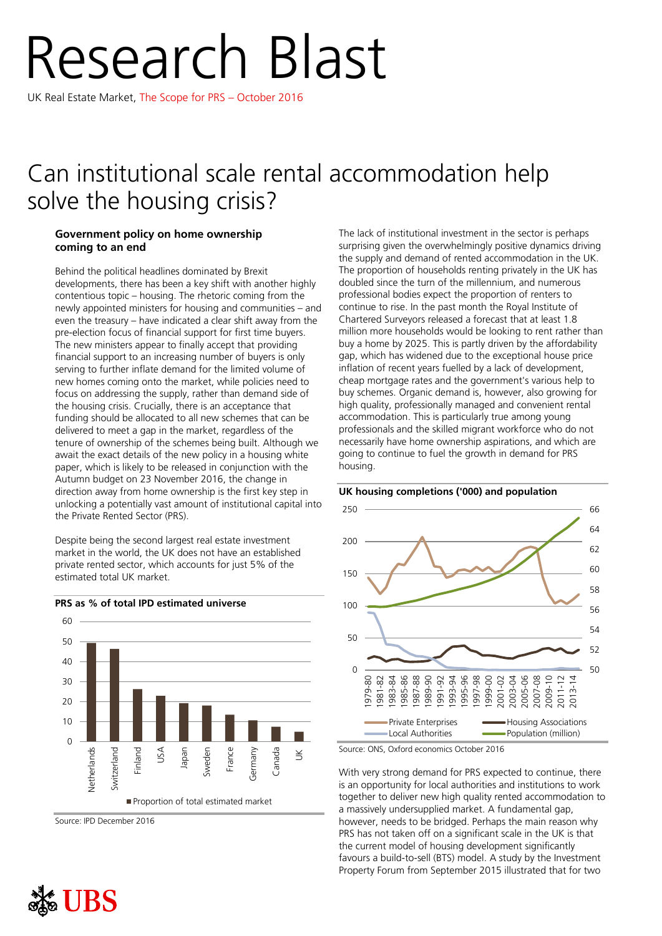# Research Blast

UK Real Estate Market, The Scope for PRS – October 2016

## Can institutional scale rental accommodation help solve the housing crisis?

### **Government policy on home ownership coming to an end**

Behind the political headlines dominated by Brexit developments, there has been a key shift with another highly contentious topic – housing. The rhetoric coming from the newly appointed ministers for housing and communities – and even the treasury – have indicated a clear shift away from the pre-election focus of financial support for first time buyers. The new ministers appear to finally accept that providing financial support to an increasing number of buyers is only serving to further inflate demand for the limited volume of new homes coming onto the market, while policies need to focus on addressing the supply, rather than demand side of the housing crisis. Crucially, there is an acceptance that funding should be allocated to all new schemes that can be delivered to meet a gap in the market, regardless of the tenure of ownership of the schemes being built. Although we await the exact details of the new policy in a housing white paper, which is likely to be released in conjunction with the Autumn budget on 23 November 2016, the change in direction away from home ownership is the first key step in unlocking a potentially vast amount of institutional capital into the Private Rented Sector (PRS).

Despite being the second largest real estate investment market in the world, the UK does not have an established private rented sector, which accounts for just 5% of the estimated total UK market.



Source: IPD December 2016

The lack of institutional investment in the sector is perhaps surprising given the overwhelmingly positive dynamics driving the supply and demand of rented accommodation in the UK. The proportion of households renting privately in the UK has doubled since the turn of the millennium, and numerous professional bodies expect the proportion of renters to continue to rise. In the past month the Royal Institute of Chartered Surveyors released a forecast that at least 1.8 million more households would be looking to rent rather than buy a home by 2025. This is partly driven by the affordability gap, which has widened due to the exceptional house price inflation of recent years fuelled by a lack of development, cheap mortgage rates and the government's various help to buy schemes. Organic demand is, however, also growing for high quality, professionally managed and convenient rental accommodation. This is particularly true among young professionals and the skilled migrant workforce who do not necessarily have home ownership aspirations, and which are going to continue to fuel the growth in demand for PRS housing.





Source: ONS, Oxford economics October 2016

With very strong demand for PRS expected to continue, there is an opportunity for local authorities and institutions to work together to deliver new high quality rented accommodation to a massively undersupplied market. A fundamental gap, however, needs to be bridged. Perhaps the main reason why PRS has not taken off on a significant scale in the UK is that the current model of housing development significantly favours a build-to-sell (BTS) model. A study by the Investment Property Forum from September 2015 illustrated that for two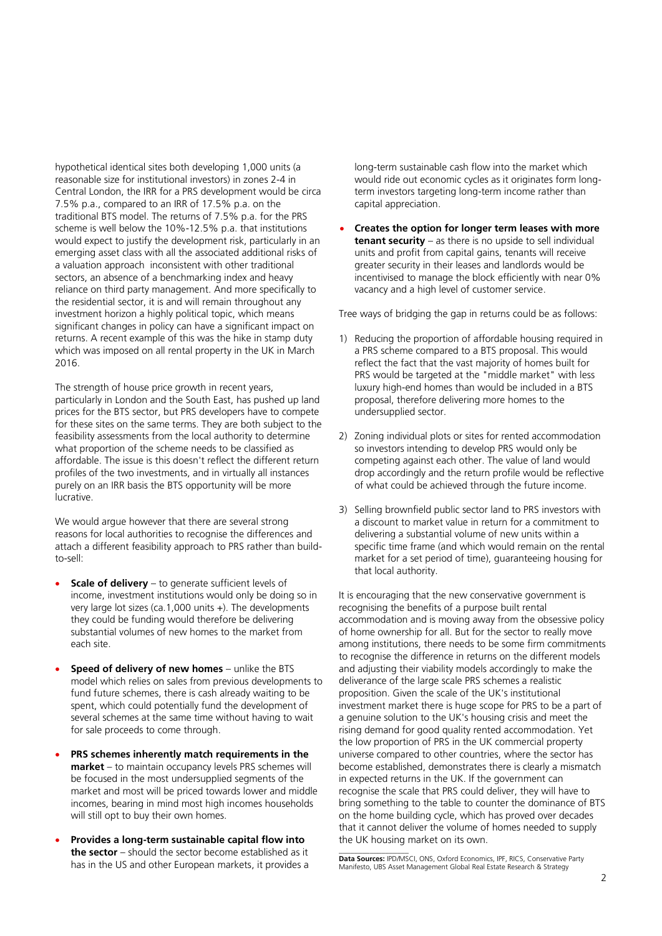hypothetical identical sites both developing 1,000 units (a reasonable size for institutional investors) in zones 2-4 in Central London, the IRR for a PRS development would be circa 7.5% p.a., compared to an IRR of 17.5% p.a. on the traditional BTS model. The returns of 7.5% p.a. for the PRS scheme is well below the 10%-12.5% p.a. that institutions would expect to justify the development risk, particularly in an emerging asset class with all the associated additional risks of a valuation approach inconsistent with other traditional sectors, an absence of a benchmarking index and heavy reliance on third party management. And more specifically to the residential sector, it is and will remain throughout any investment horizon a highly political topic, which means significant changes in policy can have a significant impact on returns. A recent example of this was the hike in stamp duty which was imposed on all rental property in the UK in March 2016.

The strength of house price growth in recent years, particularly in London and the South East, has pushed up land prices for the BTS sector, but PRS developers have to compete for these sites on the same terms. They are both subject to the feasibility assessments from the local authority to determine what proportion of the scheme needs to be classified as affordable. The issue is this doesn't reflect the different return profiles of the two investments, and in virtually all instances purely on an IRR basis the BTS opportunity will be more lucrative.

We would argue however that there are several strong reasons for local authorities to recognise the differences and attach a different feasibility approach to PRS rather than buildto-sell:

- **Scale of delivery** to generate sufficient levels of income, investment institutions would only be doing so in very large lot sizes (ca.1,000 units +). The developments they could be funding would therefore be delivering substantial volumes of new homes to the market from each site.
- **Speed of delivery of new homes** unlike the BTS model which relies on sales from previous developments to fund future schemes, there is cash already waiting to be spent, which could potentially fund the development of several schemes at the same time without having to wait for sale proceeds to come through.
- **PRS schemes inherently match requirements in the market** – to maintain occupancy levels PRS schemes will be focused in the most undersupplied segments of the market and most will be priced towards lower and middle incomes, bearing in mind most high incomes households will still opt to buy their own homes.
- **Provides a long-term sustainable capital flow into the sector** – should the sector become established as it has in the US and other European markets, it provides a

long-term sustainable cash flow into the market which would ride out economic cycles as it originates form longterm investors targeting long-term income rather than capital appreciation.

 **Creates the option for longer term leases with more tenant security** – as there is no upside to sell individual units and profit from capital gains, tenants will receive greater security in their leases and landlords would be incentivised to manage the block efficiently with near 0% vacancy and a high level of customer service.

Tree ways of bridging the gap in returns could be as follows:

- 1) Reducing the proportion of affordable housing required in a PRS scheme compared to a BTS proposal. This would reflect the fact that the vast majority of homes built for PRS would be targeted at the "middle market" with less luxury high-end homes than would be included in a BTS proposal, therefore delivering more homes to the undersupplied sector.
- 2) Zoning individual plots or sites for rented accommodation so investors intending to develop PRS would only be competing against each other. The value of land would drop accordingly and the return profile would be reflective of what could be achieved through the future income.
- 3) Selling brownfield public sector land to PRS investors with a discount to market value in return for a commitment to delivering a substantial volume of new units within a specific time frame (and which would remain on the rental market for a set period of time), guaranteeing housing for that local authority.

It is encouraging that the new conservative government is recognising the benefits of a purpose built rental accommodation and is moving away from the obsessive policy of home ownership for all. But for the sector to really move among institutions, there needs to be some firm commitments to recognise the difference in returns on the different models and adjusting their viability models accordingly to make the deliverance of the large scale PRS schemes a realistic proposition. Given the scale of the UK's institutional investment market there is huge scope for PRS to be a part of a genuine solution to the UK's housing crisis and meet the rising demand for good quality rented accommodation. Yet the low proportion of PRS in the UK commercial property universe compared to other countries, where the sector has become established, demonstrates there is clearly a mismatch in expected returns in the UK. If the government can recognise the scale that PRS could deliver, they will have to bring something to the table to counter the dominance of BTS on the home building cycle, which has proved over decades that it cannot deliver the volume of homes needed to supply the UK housing market on its own.

**\_\_\_\_\_\_\_\_\_\_\_\_\_\_\_\_\_\_ Data Sources:** IPD/MSCI, ONS, Oxford Economics, IPF, RICS, Conservative Party Manifesto, UBS Asset Management Global Real Estate Research & Strategy